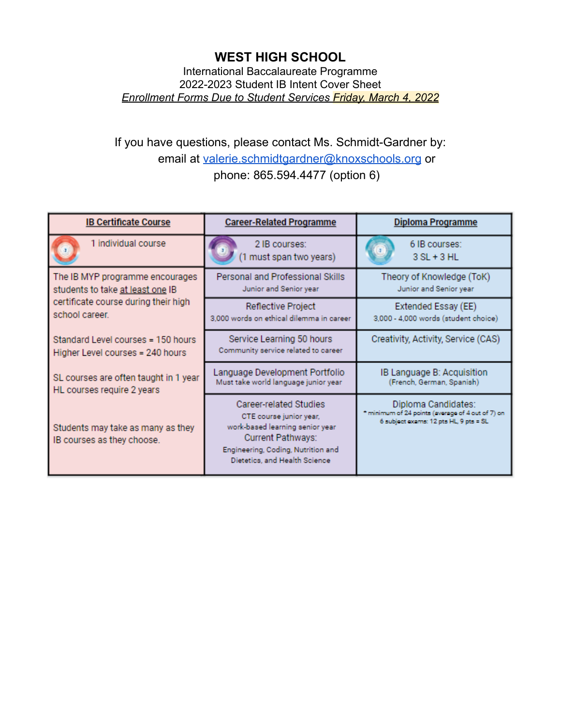International Baccalaureate Programme 2022-2023 Student IB Intent Cover Sheet *Enrollment Forms Due to Student Services Friday, March 4, 2022*

# If you have questions, please contact Ms. Schmidt-Gardner by: email at [valerie.schmidtgardner@knoxschools.org](mailto:Valerie.schmidtgardner@knoxschools.org) or phone: 865.594.4477 (option 6)

| <b>IB Certificate Course</b>                                           | <b>Career-Related Programme</b>                                                                                                                                                         | Diploma Programme                                                                                                  |
|------------------------------------------------------------------------|-----------------------------------------------------------------------------------------------------------------------------------------------------------------------------------------|--------------------------------------------------------------------------------------------------------------------|
| 1 individual course                                                    | 2 IB courses:<br>1 must span two years)                                                                                                                                                 | 6 IB courses:<br>$3$ SL + $3$ HL                                                                                   |
| The IB MYP programme encourages<br>students to take at least one IB    | Personal and Professional Skills<br>Junior and Senior year                                                                                                                              | Theory of Knowledge (ToK)<br>Junior and Senior year                                                                |
| certificate course during their high<br>school career.                 | <b>Reflective Project</b><br>3,000 words on ethical dilemma in career                                                                                                                   | Extended Essay (EE)<br>3,000 - 4,000 words (student choice)                                                        |
| Standard Level courses = 150 hours<br>Higher Level courses = 240 hours | Service Learning 50 hours<br>Community service related to career                                                                                                                        | Creativity, Activity, Service (CAS)                                                                                |
| SL courses are often taught in 1 year<br>HL courses require 2 years    | Language Development Portfolio<br>Must take world language junior year                                                                                                                  | IB Language B: Acquisition<br>(French, German, Spanish)                                                            |
| Students may take as many as they<br>IB courses as they choose.        | Career-related Studies<br>CTE course junior year,<br>work-based learning senior year<br><b>Current Pathways:</b><br>Engineering, Coding, Nutrition and<br>Dietetics, and Health Science | Diploma Candidates:<br>* minimum of 24 points (average of 4 out of 7) on<br>6 subject exams: 12 pts HL, 9 pts = SL |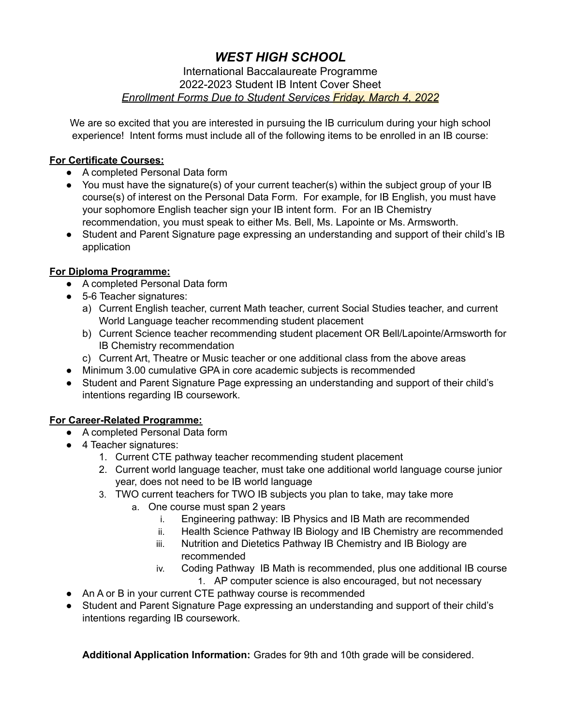#### International Baccalaureate Programme 2022-2023 Student IB Intent Cover Sheet *Enrollment Forms Due to Student Services Friday, March 4, 2022*

We are so excited that you are interested in pursuing the IB curriculum during your high school experience! Intent forms must include all of the following items to be enrolled in an IB course:

### **For Certificate Courses:**

- A completed Personal Data form
- You must have the signature(s) of your current teacher(s) within the subject group of your IB course(s) of interest on the Personal Data Form. For example, for IB English, you must have your sophomore English teacher sign your IB intent form. For an IB Chemistry recommendation, you must speak to either Ms. Bell, Ms. Lapointe or Ms. Armsworth.
- Student and Parent Signature page expressing an understanding and support of their child's IB application

### **For Diploma Programme:**

- A completed Personal Data form
- 5-6 Teacher signatures:
	- a) Current English teacher, current Math teacher, current Social Studies teacher, and current World Language teacher recommending student placement
	- b) Current Science teacher recommending student placement OR Bell/Lapointe/Armsworth for IB Chemistry recommendation
	- c) Current Art, Theatre or Music teacher or one additional class from the above areas
- Minimum 3.00 cumulative GPA in core academic subjects is recommended
- Student and Parent Signature Page expressing an understanding and support of their child's intentions regarding IB coursework.

### **For Career-Related Programme:**

- A completed Personal Data form
- 4 Teacher signatures:
	- 1. Current CTE pathway teacher recommending student placement
	- 2. Current world language teacher, must take one additional world language course junior year, does not need to be IB world language
	- 3. TWO current teachers for TWO IB subjects you plan to take, may take more
		- a. One course must span 2 years
			- i. Engineering pathway: IB Physics and IB Math are recommended
			- ii. Health Science Pathway IB Biology and IB Chemistry are recommended
			- iii. Nutrition and Dietetics Pathway IB Chemistry and IB Biology are recommended
			- iv. Coding Pathway IB Math is recommended, plus one additional IB course
				- 1. AP computer science is also encouraged, but not necessary
- An A or B in your current CTE pathway course is recommended
- Student and Parent Signature Page expressing an understanding and support of their child's intentions regarding IB coursework.

**Additional Application Information:** Grades for 9th and 10th grade will be considered.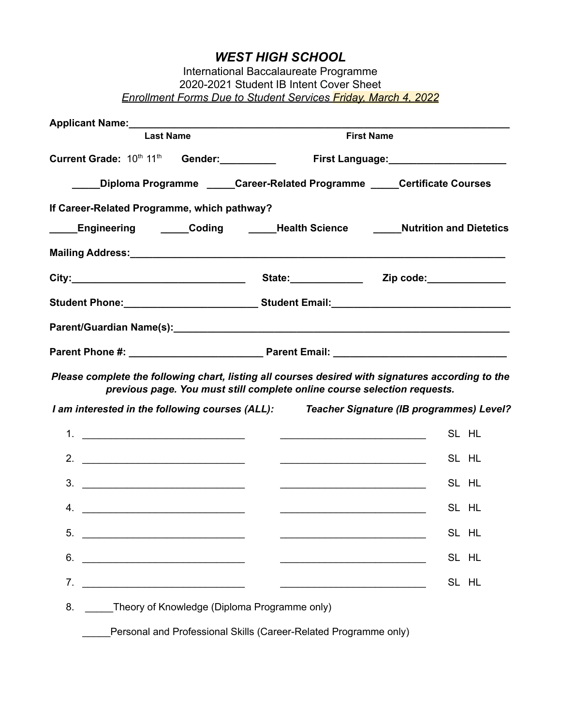| International Baccalaureate Programme                                 |
|-----------------------------------------------------------------------|
| 2020-2021 Student IB Intent Cover Sheet                               |
| <b>Enrollment Forms Due to Student Services Friday, March 4, 2022</b> |

| Applicant Name: Manual Applicant Name: Manual Applicant Name: Manual Applicant Manual Applicant Manual Applicant Manual Applicant Manual Applicant Manual Applicant Manual Applicant Manual Applicant Manual Applicant Manual |                                                                          |                                           |
|-------------------------------------------------------------------------------------------------------------------------------------------------------------------------------------------------------------------------------|--------------------------------------------------------------------------|-------------------------------------------|
| <b>Last Name</b>                                                                                                                                                                                                              |                                                                          | <b>First Name</b>                         |
| Current Grade: $10^{th}$ $11^{th}$ Gender: _________                                                                                                                                                                          |                                                                          | First Language: _________________________ |
| _____Diploma Programme ______Career-Related Programme _____Certificate Courses                                                                                                                                                |                                                                          |                                           |
| If Career-Related Programme, which pathway?                                                                                                                                                                                   |                                                                          |                                           |
| Engineering ______Coding ______Health Science ______Nutrition and Dietetics                                                                                                                                                   |                                                                          |                                           |
|                                                                                                                                                                                                                               |                                                                          |                                           |
|                                                                                                                                                                                                                               |                                                                          |                                           |
|                                                                                                                                                                                                                               |                                                                          |                                           |
|                                                                                                                                                                                                                               |                                                                          |                                           |
|                                                                                                                                                                                                                               |                                                                          |                                           |
| Please complete the following chart, listing all courses desired with signatures according to the                                                                                                                             | previous page. You must still complete online course selection requests. |                                           |
| I am interested in the following courses (ALL): Teacher Signature (IB programmes) Level?                                                                                                                                      |                                                                          |                                           |
|                                                                                                                                                                                                                               |                                                                          | SL HL                                     |
|                                                                                                                                                                                                                               | <u> 2000 - Jan Barbara (j. 1982)</u>                                     | SL HL                                     |
|                                                                                                                                                                                                                               | <u> 1989 - Johann Barn, fransk politik amerikansk politik (</u>          | SL HL                                     |
| 4. $\overline{\phantom{a}}$                                                                                                                                                                                                   | <u> 1989 - Johann Stein, mars ann an t-Amhain ann an t-</u>              | SL HL                                     |
| 5.                                                                                                                                                                                                                            |                                                                          | SL HL                                     |
| 6.                                                                                                                                                                                                                            | <u> 1989 - Johann Barbara, martxa alemaniar a</u>                        | SL HL                                     |
| 7.                                                                                                                                                                                                                            |                                                                          | SL HL                                     |
| 8.<br>Theory of Knowledge (Diploma Programme only)                                                                                                                                                                            |                                                                          |                                           |
|                                                                                                                                                                                                                               | Personal and Professional Skills (Career-Related Programme only)         |                                           |